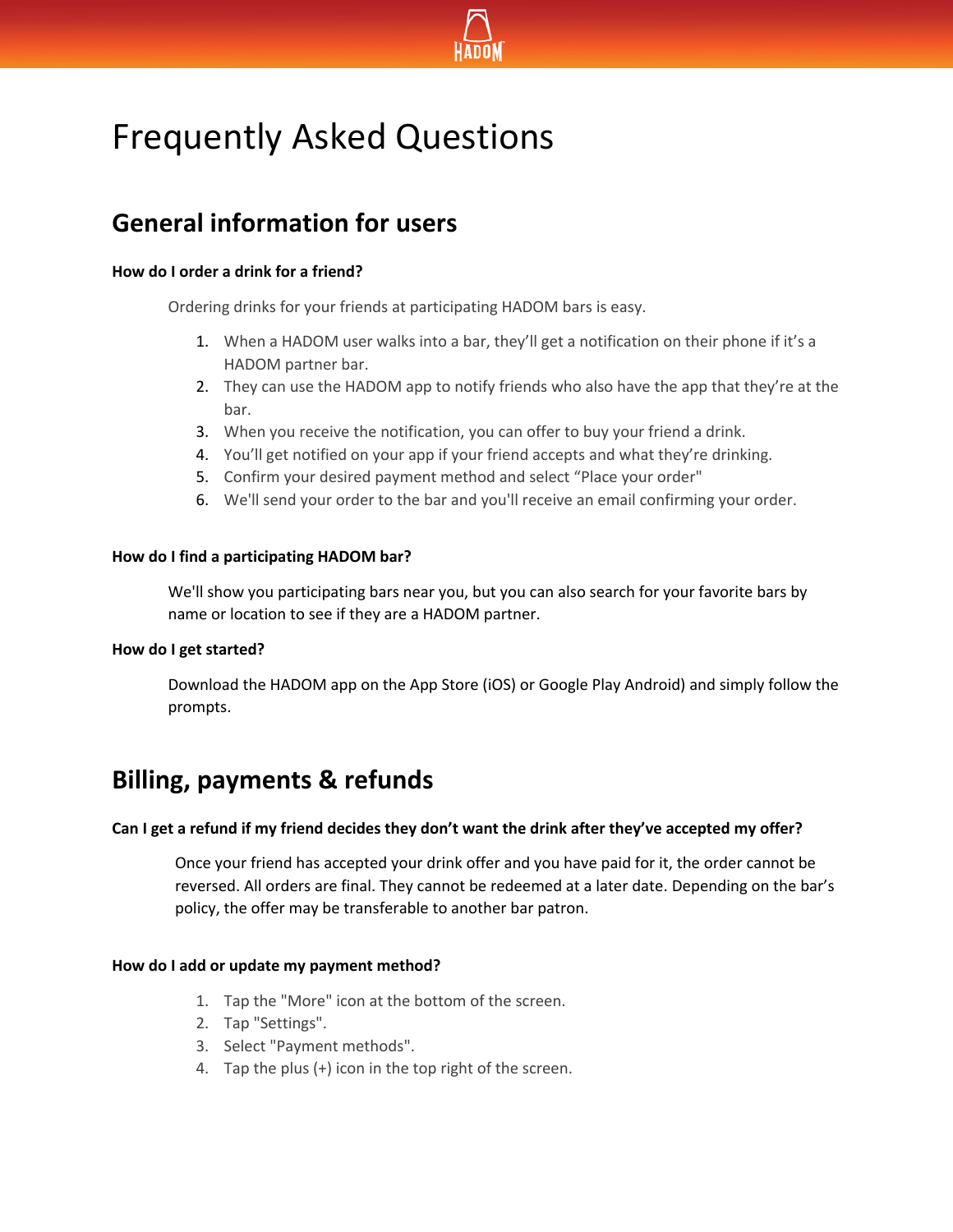

# Frequently Asked Questions

# **General information for users**

#### **How do I order a drink for a friend?**

Ordering drinks for your friends at participating HADOM bars is easy.

- 1. When a HADOM user walks into a bar, they'll get a notification on their phone if it's a HADOM partner bar.
- 2. They can use the HADOM app to notify friends who also have the app that they're at the bar.
- 3. When you receive the notification, you can offer to buy your friend a drink.
- 4. You'll get notified on your app if your friend accepts and what they're drinking.
- 5. Confirm your desired payment method and select "Place your order"
- 6. We'll send your order to the bar and you'll receive an email confirming your order.

# **How do I find a participating HADOM bar?**

We'll show you participating bars near you, but you can also search for your favorite bars by name or location to see if they are a HADOM partner.

# **How do I get started?**

Download the HADOM app on the App Store (iOS) or Google Play Android) and simply follow the prompts.

# **Billing, payments & refunds**

#### **Can I get a refund if my friend decides they don't want the drink after they've accepted my offer?**

Once your friend has accepted your drink offer and you have paid for it, the order cannot be reversed. All orders are final. They cannot be redeemed at a later date. Depending on the bar's policy, the offer may be transferable to another bar patron.

# **How do I add or update my payment method?**

- 1. Tap the "More" icon at the bottom of the screen.
- 2. Tap "Settings".
- 3. Select "Payment methods".
- 4. Tap the plus (+) icon in the top right of the screen.